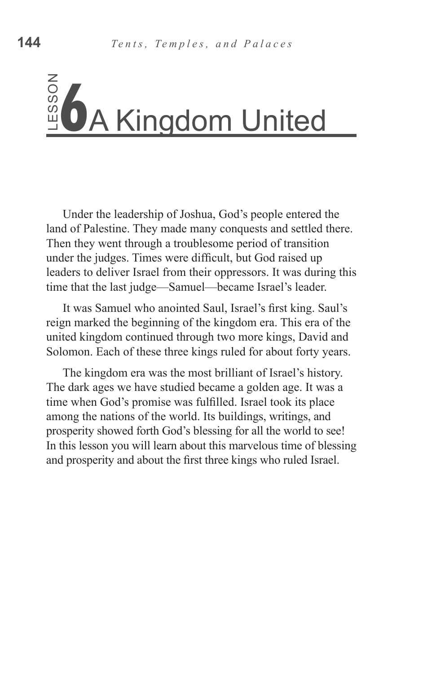Under the leadership of Joshua, God's people entered the land of Palestine. They made many conquests and settled there. Then they went through a troublesome period of transition under the judges. Times were difficult, but God raised up leaders to deliver Israel from their oppressors. It was during this time that the last judge—Samuel—became Israel's leader.

It was Samuel who anointed Saul, Israel's first king. Saul's reign marked the beginning of the kingdom era. This era of the united kingdom continued through two more kings, David and Solomon. Each of these three kings ruled for about forty years.

The kingdom era was the most brilliant of Israel's history. The dark ages we have studied became a golden age. It was a time when God's promise was fulfilled. Israel took its place among the nations of the world. Its buildings, writings, and prosperity showed forth God's blessing for all the world to see! In this lesson you will learn about this marvelous time of blessing Example 1 Max 1 Control and the first three kings who ruled Israel.<br>
The first three kind of Palestine. They made many conquests and settled the Then they went through a troublesome period of transition under the judges. T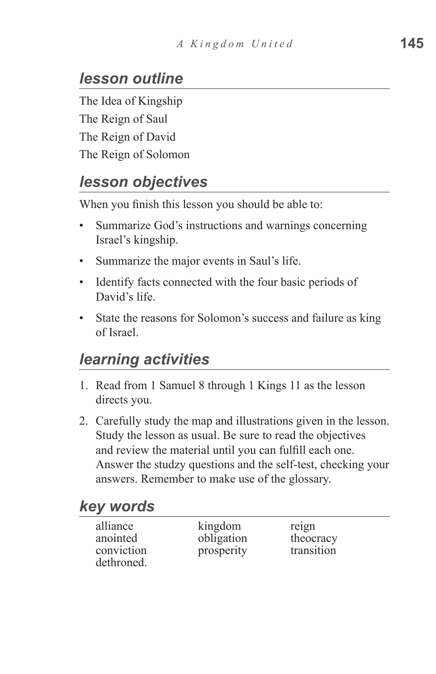# *lesson outline*

The Idea of Kingship The Reign of Saul The Reign of David The Reign of Solomon

#### *lesson objectives*

When you finish this lesson you should be able to:

- Summarize God's instructions and warnings concerning Israel's kingship.
- Summarize the major events in Saul's life.
- Identify facts connected with the four basic periods of David's life.
- State the reasons for Solomon's success and failure as king of Israel.

# *learning activities*

- 1. Read from 1 Samuel 8 through 1 Kings 11 as the lesson directs you.
- 2. Carefully study the map and illustrations given in the lesson. Study the lesson as usual. Be sure to read the objectives and review the material until you can fulfill each one. Answer the studzy questions and the self-test, checking your answers. Remember to make use of the glossary.

#### *key words*

| alliance   |
|------------|
| anointed   |
| conviction |
| dethroned. |

kingdom reign obligation theocracy prosperity transition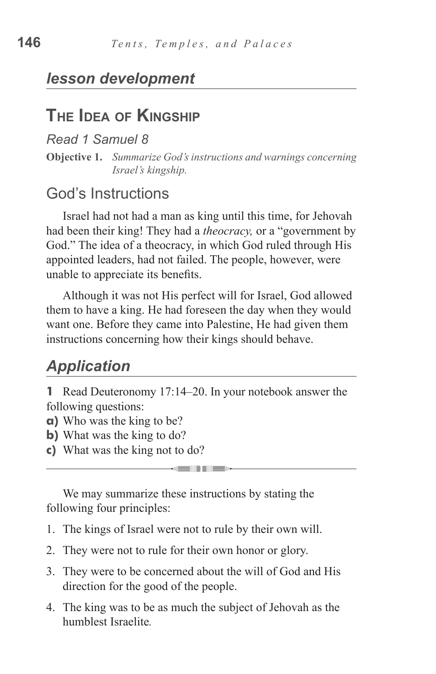# **The Idea of Kingship**

*Read 1 Samuel 8*

**Objective 1.** *Summarize God's instructions and warnings concerning Israel's kingship.*

#### God's Instructions

Israel had not had a man as king until this time, for Jehovah had been their king! They had a *theocracy,* or a "government by God." The idea of a theocracy, in which God ruled through His appointed leaders, had not failed. The people, however, were unable to appreciate its benefits.

Although it was not His perfect will for Israel, God allowed them to have a king. He had foreseen the day when they would want one. Before they came into Palestine, He had given them instructions concerning how their kings should behave.

# *Application*

**1** Read Deuteronomy 17:14–20. In your notebook answer the following questions:

- **a)** Who was the king to be?
- **b)** What was the king to do?
- **c)** What was the king not to do?

We may summarize these instructions by stating the following four principles:

- 1. The kings of Israel were not to rule by their own will.
- 2. They were not to rule for their own honor or glory.
- 3. They were to be concerned about the will of God and His direction for the good of the people.
- 4. The king was to be as much the subject of Jehovah as the humblest Israelite*.*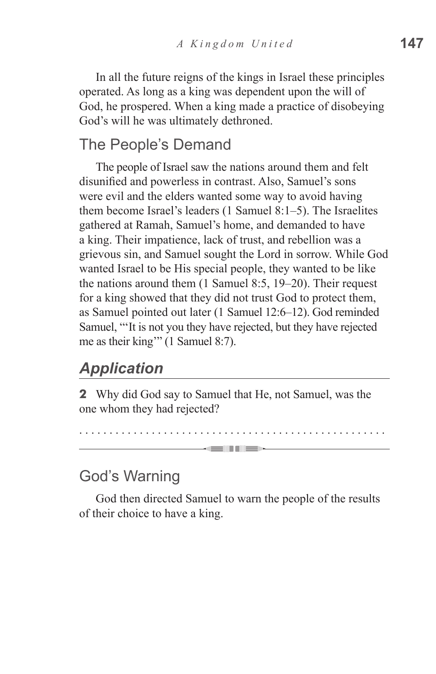In all the future reigns of the kings in Israel these principles operated. As long as a king was dependent upon the will of God, he prospered. When a king made a practice of disobeying God's will he was ultimately dethroned.

#### The People's Demand

The people of Israel saw the nations around them and felt disunified and powerless in contrast. Also, Samuel's sons were evil and the elders wanted some way to avoid having them become Israel's leaders (1 Samuel 8:1–5). The Israelites gathered at Ramah, Samuel's home, and demanded to have a king. Their impatience, lack of trust, and rebellion was a grievous sin, and Samuel sought the Lord in sorrow. While God wanted Israel to be His special people, they wanted to be like the nations around them (1 Samuel 8:5, 19–20). Their request for a king showed that they did not trust God to protect them, as Samuel pointed out later (1 Samuel 12:6–12). God reminded Samuel, "'It is not you they have rejected, but they have rejected me as their king'" (1 Samuel 8:7).

#### *Application*

**2** Why did God say to Samuel that He, not Samuel, was the one whom they had rejected?

. . . . . . . . . . . . . . . . . . . . . . . . . . . . . . . . . . . . . . . . . . . . . . . . . . . -----

#### God's Warning

God then directed Samuel to warn the people of the results of their choice to have a king.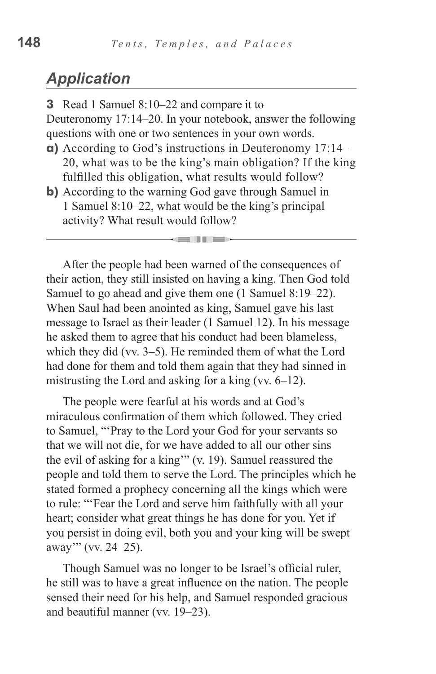#### *Application*

**3** Read 1 Samuel 8:10–22 and compare it to Deuteronomy 17:14–20. In your notebook, answer the following questions with one or two sentences in your own words.

- **a)** According to God's instructions in Deuteronomy 17:14– 20, what was to be the king's main obligation? If the king fulfilled this obligation, what results would follow?
- **b**) According to the warning God gave through Samuel in 1 Samuel 8:10–22, what would be the king's principal activity? What result would follow?

After the people had been warned of the consequences of their action, they still insisted on having a king. Then God told Samuel to go ahead and give them one (1 Samuel 8:19–22). When Saul had been anointed as king, Samuel gave his last message to Israel as their leader (1 Samuel 12). In his message he asked them to agree that his conduct had been blameless, which they did (vv. 3–5). He reminded them of what the Lord had done for them and told them again that they had sinned in mistrusting the Lord and asking for a king (vv. 6–12).

The people were fearful at his words and at God's miraculous confirmation of them which followed. They cried to Samuel, "'Pray to the Lord your God for your servants so that we will not die, for we have added to all our other sins the evil of asking for a king'" (v. 19). Samuel reassured the people and told them to serve the Lord. The principles which he stated formed a prophecy concerning all the kings which were to rule: "'Fear the Lord and serve him faithfully with all your heart; consider what great things he has done for you. Yet if you persist in doing evil, both you and your king will be swept away'" (vv. 24–25).

Though Samuel was no longer to be Israel's official ruler, he still was to have a great influence on the nation. The people sensed their need for his help, and Samuel responded gracious and beautiful manner (vv. 19–23).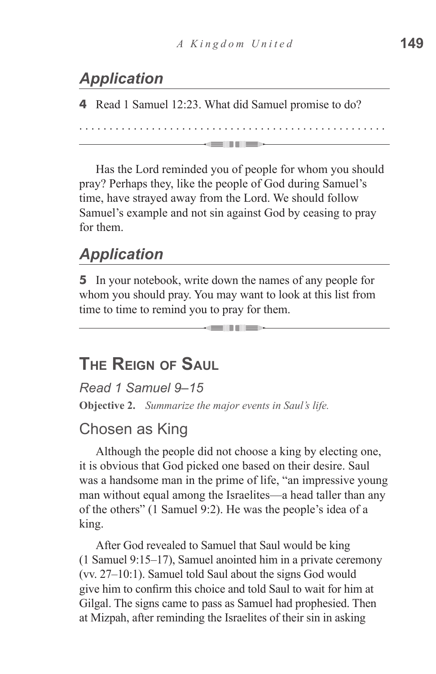# *Application*

**4** Read 1 Samuel 12:23. What did Samuel promise to do?

Has the Lord reminded you of people for whom you should pray? Perhaps they, like the people of God during Samuel's time, have strayed away from the Lord. We should follow Samuel's example and not sin against God by ceasing to pray for them.

. . . . . . . . . . . . . . . . . . . . . . . . . . . . . . . . . . . . . . . . . . . . . . . . . . .

**GUILD** 

# *Application*

**5** In your notebook, write down the names of any people for whom you should pray. You may want to look at this list from time to time to remind you to pray for them.

#### **The Reign of Saul**

*Read 1 Samuel 9–15* **Objective 2.** *Summarize the major events in Saul's life.*

#### Chosen as King

Although the people did not choose a king by electing one, it is obvious that God picked one based on their desire. Saul was a handsome man in the prime of life, "an impressive young man without equal among the Israelites—a head taller than any of the others" (1 Samuel 9:2). He was the people's idea of a king.

After God revealed to Samuel that Saul would be king (1 Samuel 9:15–17), Samuel anointed him in a private ceremony (vv. 27–10:1). Samuel told Saul about the signs God would give him to confirm this choice and told Saul to wait for him at Gilgal. The signs came to pass as Samuel had prophesied. Then at Mizpah, after reminding the Israelites of their sin in asking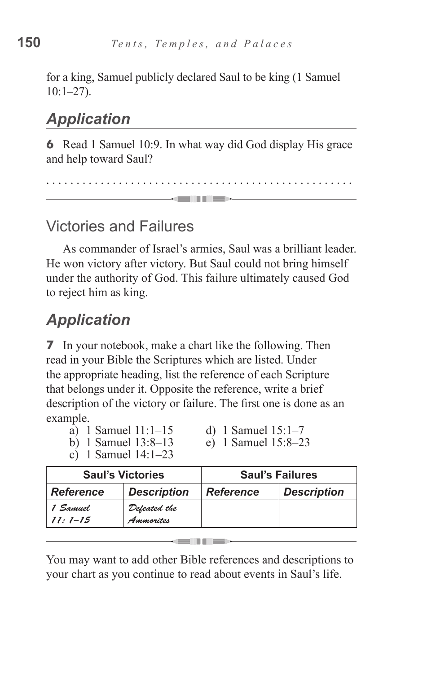for a king, Samuel publicly declared Saul to be king (1 Samuel  $10:1-27$ ).

# *Application*

**6** Read 1 Samuel 10:9. In what way did God display His grace and help toward Saul?

. . . . . . . . . . . . . . . . . . . . . . . . . . . . . . . . . . . . . . . . . . . . . . . . . . . dell'Illes

## Victories and Failures

As commander of Israel's armies, Saul was a brilliant leader. He won victory after victory. But Saul could not bring himself under the authority of God. This failure ultimately caused God to reject him as king.

# *Application*

**7** In your notebook, make a chart like the following. Then read in your Bible the Scriptures which are listed. Under the appropriate heading, list the reference of each Scripture that belongs under it. Opposite the reference, write a brief description of the victory or failure. The first one is done as an example.

|   | a) 1 Samuel $11:1-15$ |  |   |     |
|---|-----------------------|--|---|-----|
| . |                       |  | . | . . |

d) 1 Samuel  $15:1-7$ 

b) 1 Samuel 13:8–13

c) 1 Samuel 14:1–23

| e) I Samuel $15:8-23$ |  |
|-----------------------|--|
|                       |  |

| <b>Saul's Victories</b> |                           | <b>Saul's Failures</b> |                    |  |
|-------------------------|---------------------------|------------------------|--------------------|--|
| <b>Reference</b>        | <b>Description</b>        | <b>Reference</b>       | <b>Description</b> |  |
| 1 Samuel<br>$11:1-15$   | Defeated the<br>Ammorites |                        |                    |  |

You may want to add other Bible references and descriptions to your chart as you continue to read about events in Saul's life.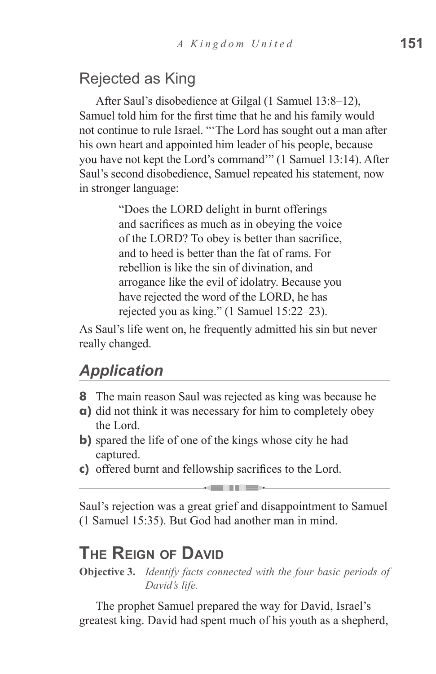#### Rejected as King

After Saul's disobedience at Gilgal (1 Samuel 13:8–12), Samuel told him for the first time that he and his family would not continue to rule Israel. "'The Lord has sought out a man after his own heart and appointed him leader of his people, because you have not kept the Lord's command'" (1 Samuel 13:14). After Saul's second disobedience, Samuel repeated his statement, now in stronger language:

> "Does the LORD delight in burnt offerings and sacrifices as much as in obeying the voice of the LORD? To obey is better than sacrifice, and to heed is better than the fat of rams. For rebellion is like the sin of divination, and arrogance like the evil of idolatry. Because you have rejected the word of the LORD, he has rejected you as king." (1 Samuel 15:22–23).

As Saul's life went on, he frequently admitted his sin but never really changed.

#### *Application*

- **8** The main reason Saul was rejected as king was because he
- **a)** did not think it was necessary for him to completely obey the Lord.
- **b)** spared the life of one of the kings whose city he had captured.
- **c)** offered burnt and fellowship sacrifices to the Lord.

Saul's rejection was a great grief and disappointment to Samuel (1 Samuel 15:35). But God had another man in mind.

## **The Reign of David**

**Objective 3.** *Identify facts connected with the four basic periods of David's life.*

The prophet Samuel prepared the way for David, Israel's greatest king. David had spent much of his youth as a shepherd,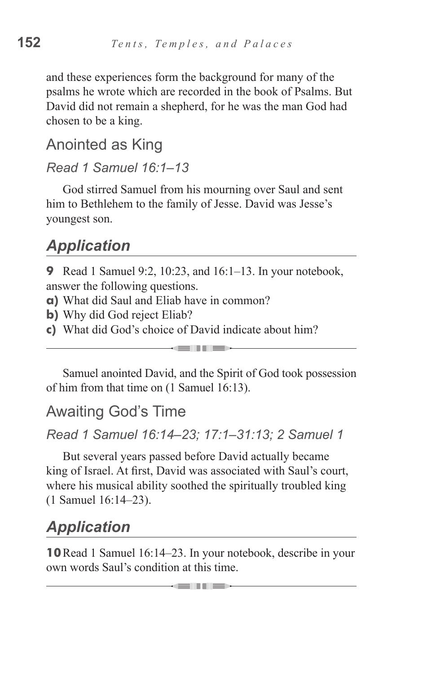and these experiences form the background for many of the psalms he wrote which are recorded in the book of Psalms. But David did not remain a shepherd, for he was the man God had chosen to be a king.

# Anointed as King

#### *Read 1 Samuel 16:1–13*

God stirred Samuel from his mourning over Saul and sent him to Bethlehem to the family of Jesse. David was Jesse's youngest son.

## *Application*

**9** Read 1 Samuel 9:2, 10:23, and 16:1–13. In your notebook, answer the following questions.

- **a)** What did Saul and Eliab have in common?
- **b**) Why did God reject Eliab?
- **c)** What did God's choice of David indicate about him?

Samuel anointed David, and the Spirit of God took possession of him from that time on (1 Samuel 16:13).

and in the second second second in the second second.

#### Awaiting God's Time

*Read 1 Samuel 16:14–23; 17:1–31:13; 2 Samuel 1*

But several years passed before David actually became king of Israel. At first, David was associated with Saul's court, where his musical ability soothed the spiritually troubled king (1 Samuel 16:14–23).

# *Application*

**10**Read 1 Samuel 16:14–23. In your notebook, describe in your own words Saul's condition at this time.

and in the sea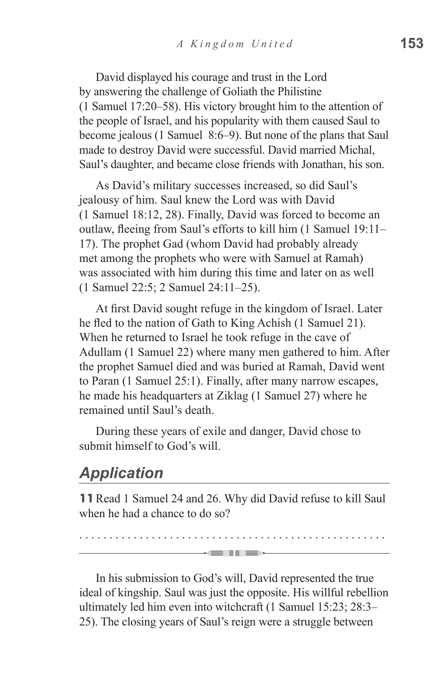David displayed his courage and trust in the Lord by answering the challenge of Goliath the Philistine (1 Samuel 17:20–58). His victory brought him to the attention of the people of Israel, and his popularity with them caused Saul to become jealous (1 Samuel 8:6–9). But none of the plans that Saul made to destroy David were successful. David married Michal, Saul's daughter, and became close friends with Jonathan, his son.

As David's military successes increased, so did Saul's jealousy of him. Saul knew the Lord was with David (1 Samuel 18:12, 28). Finally, David was forced to become an outlaw, fleeing from Saul's efforts to kill him (1 Samuel 19:11– 17). The prophet Gad (whom David had probably already met among the prophets who were with Samuel at Ramah) was associated with him during this time and later on as well (1 Samuel 22:5; 2 Samuel 24:11–25).

At first David sought refuge in the kingdom of Israel. Later he fled to the nation of Gath to King Achish (1 Samuel 21). When he returned to Israel he took refuge in the cave of Adullam (1 Samuel 22) where many men gathered to him. After the prophet Samuel died and was buried at Ramah, David went to Paran (1 Samuel 25:1). Finally, after many narrow escapes, he made his headquarters at Ziklag (1 Samuel 27) where he remained until Saul's death.

During these years of exile and danger, David chose to submit himself to God's will.

#### *Application*

**11**Read 1 Samuel 24 and 26. Why did David refuse to kill Saul when he had a chance to do so?

. . . . . . . . . . . . . . . . . . . . . . . . . . . . . . . . . . . . . . . . . . . . . . . . . . .

-- 11 III 30 -

In his submission to God's will, David represented the true ideal of kingship. Saul was just the opposite. His willful rebellion ultimately led him even into witchcraft (1 Samuel 15:23; 28:3– 25). The closing years of Saul's reign were a struggle between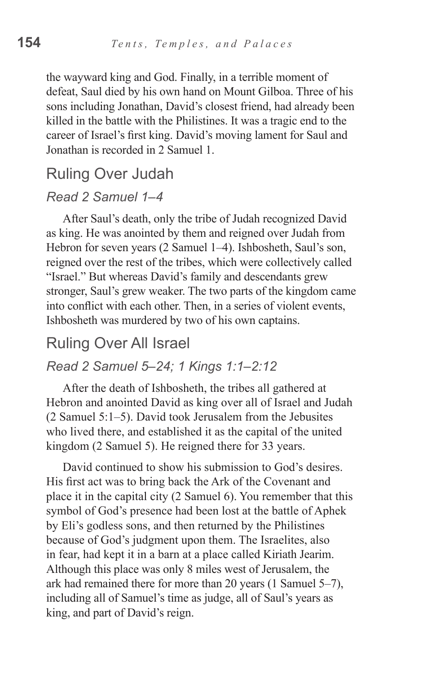the wayward king and God. Finally, in a terrible moment of defeat, Saul died by his own hand on Mount Gilboa. Three of his sons including Jonathan, David's closest friend, had already been killed in the battle with the Philistines. It was a tragic end to the career of Israel's first king. David's moving lament for Saul and Jonathan is recorded in 2 Samuel 1.

#### Ruling Over Judah

#### *Read 2 Samuel 1–4*

After Saul's death, only the tribe of Judah recognized David as king. He was anointed by them and reigned over Judah from Hebron for seven years (2 Samuel 1–4). Ishbosheth, Saul's son, reigned over the rest of the tribes, which were collectively called "Israel." But whereas David's family and descendants grew stronger, Saul's grew weaker. The two parts of the kingdom came into conflict with each other. Then, in a series of violent events, Ishbosheth was murdered by two of his own captains.

#### Ruling Over All Israel

#### *Read 2 Samuel 5–24; 1 Kings 1:1–2:12*

After the death of Ishbosheth, the tribes all gathered at Hebron and anointed David as king over all of Israel and Judah (2 Samuel 5:1–5). David took Jerusalem from the Jebusites who lived there, and established it as the capital of the united kingdom (2 Samuel 5). He reigned there for 33 years.

David continued to show his submission to God's desires. His first act was to bring back the Ark of the Covenant and place it in the capital city (2 Samuel 6). You remember that this symbol of God's presence had been lost at the battle of Aphek by Eli's godless sons, and then returned by the Philistines because of God's judgment upon them. The Israelites, also in fear, had kept it in a barn at a place called Kiriath Jearim. Although this place was only 8 miles west of Jerusalem, the ark had remained there for more than 20 years (1 Samuel 5–7), including all of Samuel's time as judge, all of Saul's years as king, and part of David's reign.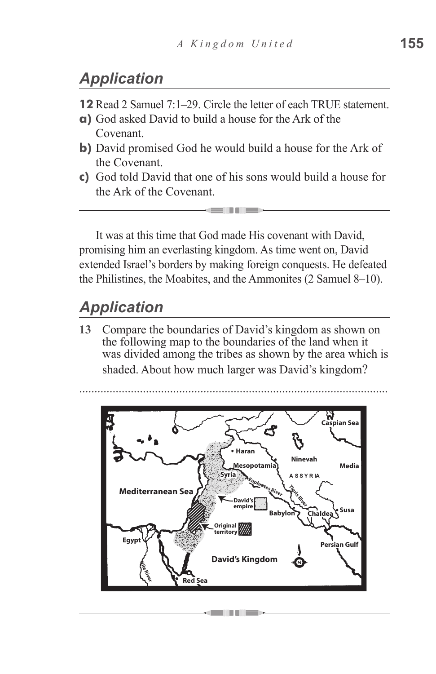# *Application*

- **12** Read 2 Samuel 7:1–29. Circle the letter of each TRUE statement.
- **a)** God asked David to build a house for the Ark of the Covenant.
- **b)** David promised God he would build a house for the Ark of the Covenant.
- **c)** God told David that one of his sons would build a house for the Ark of the Covenant.

- 11 - 11 -

It was at this time that God made His covenant with David, promising him an everlasting kingdom. As time went on, David extended Israel's borders by making foreign conquests. He defeated the Philistines, the Moabites, and the Ammonites (2 Samuel 8–10).

# *Application*

**13** Compare the boundaries of David's kingdom as shown on the following map to the boundaries of the land when it was divided among the tribes as shown by the area which is

shaded. About how much larger was David's kingdom?

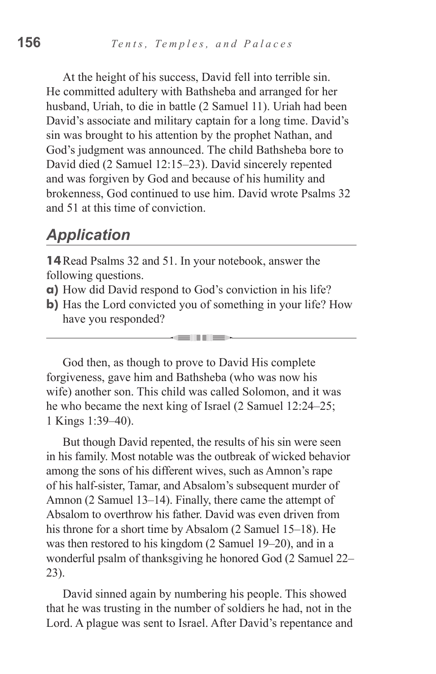At the height of his success, David fell into terrible sin. He committed adultery with Bathsheba and arranged for her husband, Uriah, to die in battle (2 Samuel 11). Uriah had been David's associate and military captain for a long time. David's sin was brought to his attention by the prophet Nathan, and God's judgment was announced. The child Bathsheba bore to David died (2 Samuel 12:15–23). David sincerely repented and was forgiven by God and because of his humility and brokenness, God continued to use him. David wrote Psalms 32 and 51 at this time of conviction.

#### *Application*

**14**Read Psalms 32 and 51. In your notebook, answer the following questions.

- **a)** How did David respond to God's conviction in his life?
- **b**) Has the Lord convicted you of something in your life? How have you responded?

an III di S

God then, as though to prove to David His complete forgiveness, gave him and Bathsheba (who was now his wife) another son. This child was called Solomon, and it was he who became the next king of Israel (2 Samuel 12:24–25; 1 Kings 1:39–40).

But though David repented, the results of his sin were seen in his family. Most notable was the outbreak of wicked behavior among the sons of his different wives, such as Amnon's rape of his half-sister, Tamar, and Absalom's subsequent murder of Amnon (2 Samuel 13–14). Finally, there came the attempt of Absalom to overthrow his father. David was even driven from his throne for a short time by Absalom (2 Samuel 15–18). He was then restored to his kingdom (2 Samuel 19–20), and in a wonderful psalm of thanksgiving he honored God (2 Samuel 22– 23).

David sinned again by numbering his people. This showed that he was trusting in the number of soldiers he had, not in the Lord. A plague was sent to Israel. After David's repentance and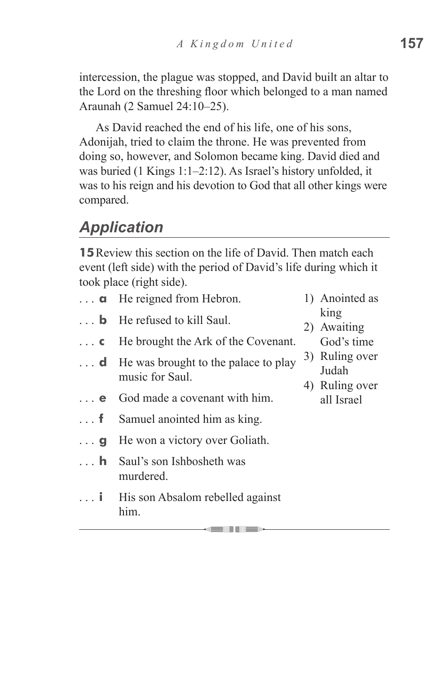intercession, the plague was stopped, and David built an altar to the Lord on the threshing floor which belonged to a man named Araunah (2 Samuel 24:10–25).

As David reached the end of his life, one of his sons, Adonijah, tried to claim the throne. He was prevented from doing so, however, and Solomon became king. David died and was buried (1 Kings 1:1–2:12). As Israel's history unfolded, it was to his reign and his devotion to God that all other kings were compared.

# *Application*

**15** Review this section on the life of David. Then match each event (left side) with the period of David's life during which it took place (right side).

|            | $\ldots$ <b>a</b> He reigned from Hebron.                                 | 1) Anointed as                            |
|------------|---------------------------------------------------------------------------|-------------------------------------------|
|            | $\ldots$ <b>b</b> He refused to kill Saul.                                | king<br>2) Awaiting                       |
| $\ldots$ C | He brought the Ark of the Covenant.                                       | God's time                                |
|            | $\ldots$ <b>d</b> He was brought to the palace to play<br>music for Saul. | 3) Ruling over<br>Judah<br>4) Ruling over |
| $\ldots$ e | God made a covenant with him.                                             | all Israel                                |
| . f        | Samuel anointed him as king.                                              |                                           |
| $\ldots$ g | He won a victory over Goliath.                                            |                                           |
| $\ldots$ h | Saul's son Ishbosheth was<br>murdered.                                    |                                           |
| . <b>i</b> | His son Absalom rebelled against<br>him.                                  |                                           |

- - -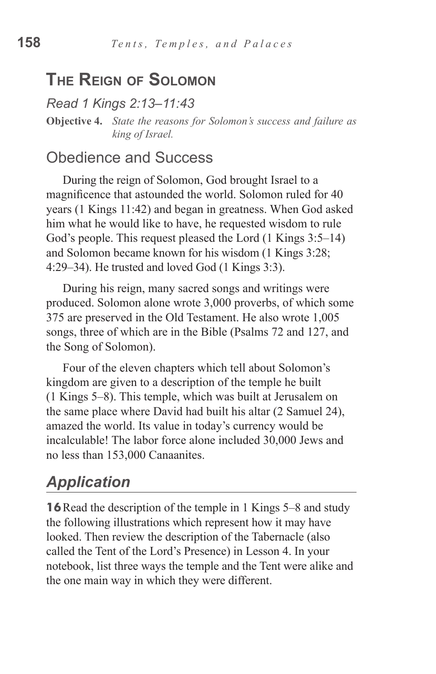#### **The Reign of Solomon**

*Read 1 Kings 2:13–11:43* **Objective 4.** *State the reasons for Solomon's success and failure as king of Israel.*

#### Obedience and Success

During the reign of Solomon, God brought Israel to a magnificence that astounded the world. Solomon ruled for 40 years (1 Kings 11:42) and began in greatness. When God asked him what he would like to have, he requested wisdom to rule God's people. This request pleased the Lord (1 Kings 3:5–14) and Solomon became known for his wisdom (1 Kings 3:28; 4:29–34). He trusted and loved God (1 Kings 3:3).

During his reign, many sacred songs and writings were produced. Solomon alone wrote 3,000 proverbs, of which some 375 are preserved in the Old Testament. He also wrote 1,005 songs, three of which are in the Bible (Psalms 72 and 127, and the Song of Solomon).

Four of the eleven chapters which tell about Solomon's kingdom are given to a description of the temple he built (1 Kings 5–8). This temple, which was built at Jerusalem on the same place where David had built his altar (2 Samuel 24), amazed the world. Its value in today's currency would be incalculable! The labor force alone included 30,000 Jews and no less than 153,000 Canaanites.

# *Application*

**16** Read the description of the temple in 1 Kings 5–8 and study the following illustrations which represent how it may have looked. Then review the description of the Tabernacle (also called the Tent of the Lord's Presence) in Lesson 4. In your notebook, list three ways the temple and the Tent were alike and the one main way in which they were different.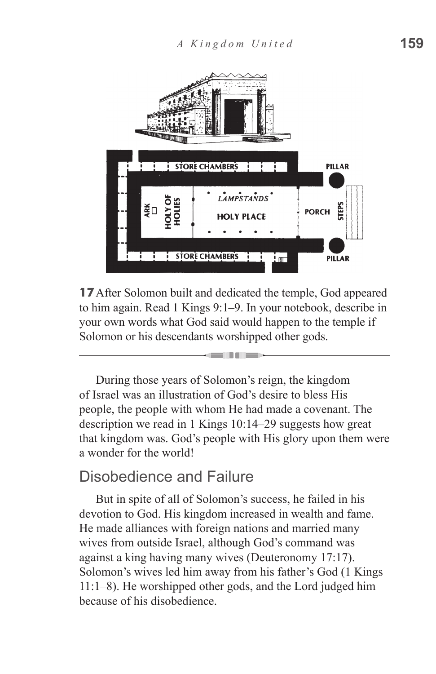

**17** After Solomon built and dedicated the temple, God appeared to him again. Read 1 Kings 9:1–9. In your notebook, describe in your own words what God said would happen to the temple if Solomon or his descendants worshipped other gods.

alla di San

During those years of Solomon's reign, the kingdom of Israel was an illustration of God's desire to bless His people, the people with whom He had made a covenant. The description we read in 1 Kings 10:14–29 suggests how great that kingdom was. God's people with His glory upon them were a wonder for the world!

#### Disobedience and Failure

But in spite of all of Solomon's success, he failed in his devotion to God. His kingdom increased in wealth and fame. He made alliances with foreign nations and married many wives from outside Israel, although God's command was against a king having many wives (Deuteronomy 17:17). Solomon's wives led him away from his father's God (1 Kings 11:1–8). He worshipped other gods, and the Lord judged him because of his disobedience.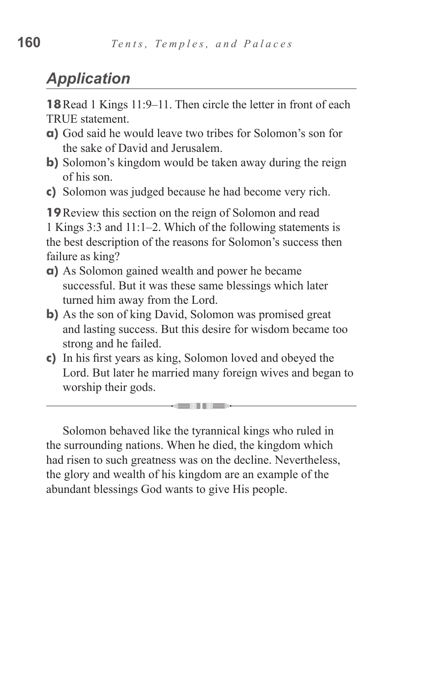# *Application*

**18**Read 1 Kings 11:9–11. Then circle the letter in front of each TRUE statement.

- **a)** God said he would leave two tribes for Solomon's son for the sake of David and Jerusalem.
- **b)** Solomon's kingdom would be taken away during the reign of his son.
- **c)** Solomon was judged because he had become very rich.

**19**Review this section on the reign of Solomon and read 1 Kings 3:3 and 11:1–2. Which of the following statements is the best description of the reasons for Solomon's success then failure as king?

- **a)** As Solomon gained wealth and power he became successful. But it was these same blessings which later turned him away from the Lord.
- **b)** As the son of king David, Solomon was promised great and lasting success. But this desire for wisdom became too strong and he failed.
- **c)** In his first years as king, Solomon loved and obeyed the Lord. But later he married many foreign wives and began to worship their gods.

<u>state and the contract of the second</u>

Solomon behaved like the tyrannical kings who ruled in the surrounding nations. When he died, the kingdom which had risen to such greatness was on the decline. Nevertheless, the glory and wealth of his kingdom are an example of the abundant blessings God wants to give His people.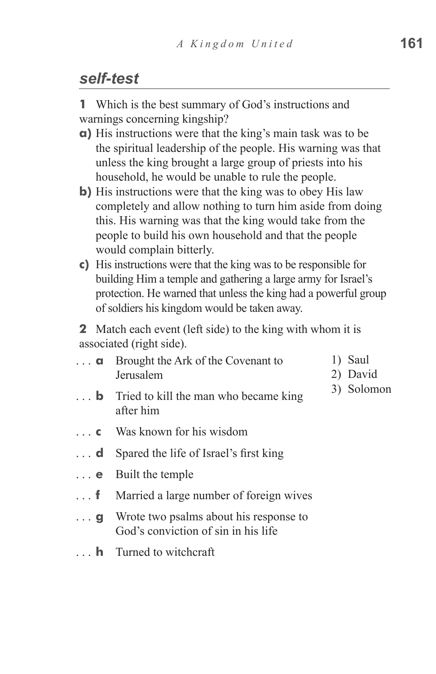#### *self-test*

**1** Which is the best summary of God's instructions and warnings concerning kingship?

- **a)** His instructions were that the king's main task was to be the spiritual leadership of the people. His warning was that unless the king brought a large group of priests into his household, he would be unable to rule the people.
- **b)** His instructions were that the king was to obey His law completely and allow nothing to turn him aside from doing this. His warning was that the king would take from the people to build his own household and that the people would complain bitterly.
- **c)** His instructions were that the king was to be responsible for building Him a temple and gathering a large army for Israel's protection. He warned that unless the king had a powerful group of soldiers his kingdom would be taken away.

**2** Match each event (left side) to the king with whom it is associated (right side).

| . <b>a</b> | Brought the Ark of the Covenant to | 1) Saul  |
|------------|------------------------------------|----------|
|            | Jerusalem                          | 2) David |

- **b** Tried to kill the man who became king after him
	- **c** Was known for his wisdom
	- **d** Spared the life of Israel's first king
	- **e**  Built the temple
	- **f** Married a large number of foreign wives
	- **g** Wrote two psalms about his response to God's conviction of sin in his life
	- **h** Turned to witchcraft

3) Solomon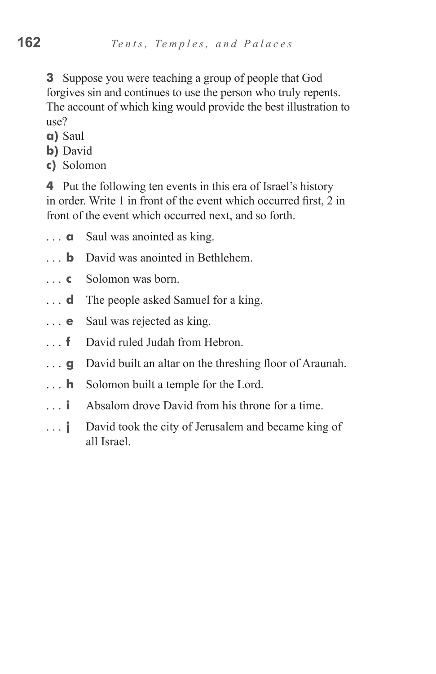**3** Suppose you were teaching a group of people that God forgives sin and continues to use the person who truly repents. The account of which king would provide the best illustration to use?

- **a)** Saul
- **b)** David
- **c)** Solomon

**4** Put the following ten events in this era of Israel's history in order. Write 1 in front of the event which occurred first, 2 in front of the event which occurred next, and so forth.

- **a** Saul was anointed as king.
- **b** David was anointed in Bethlehem.
- **c** Solomon was born.
- **d** The people asked Samuel for a king.
- **e** Saul was rejected as king.
- **f** David ruled Judah from Hebron.
- **g** David built an altar on the threshing floor of Araunah.
- **h** Solomon built a temple for the Lord.
- **i** Absalom drove David from his throne for a time.
- **j** David took the city of Jerusalem and became king of all Israel.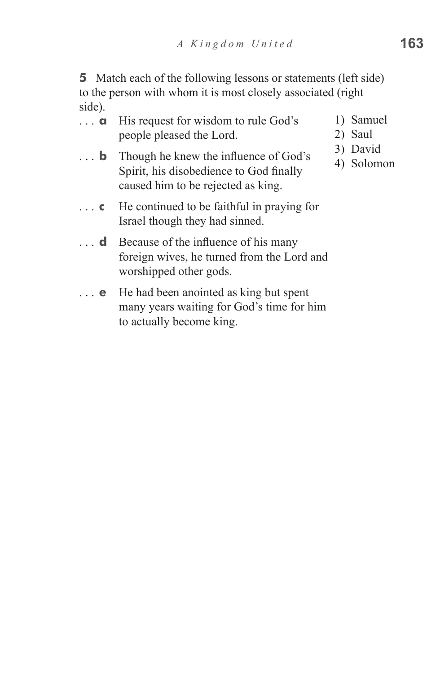**5** Match each of the following lessons or statements (left side) to the person with whom it is most closely associated (right side).

| . <b>a</b> | His request for wisdom to rule God's |  |
|------------|--------------------------------------|--|
|            | people pleased the Lord.             |  |

- **b** Though he knew the influence of God's Spirit, his disobedience to God finally caused him to be rejected as king.
- **c** He continued to be faithful in praying for Israel though they had sinned.
- **d** Because of the influence of his many foreign wives, he turned from the Lord and worshipped other gods.
- **e** He had been anointed as king but spent many years waiting for God's time for him to actually become king.
- 
- Samuel
- Saul.
- 3) David
- 4) Solomon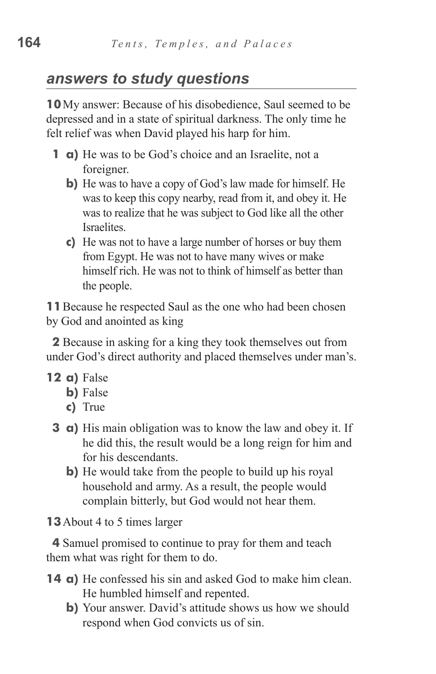## *answers to study questions*

**10**My answer: Because of his disobedience, Saul seemed to be depressed and in a state of spiritual darkness. The only time he felt relief was when David played his harp for him.

- **1 a)** He was to be God's choice and an Israelite, not a foreigner.
	- **b**) He was to have a copy of God's law made for himself. He was to keep this copy nearby, read from it, and obey it. He was to realize that he was subject to God like all the other **Israelites**
	- **c**) He was not to have a large number of horses or buy them from Egypt. He was not to have many wives or make himself rich. He was not to think of himself as better than the people.

**11**Because he respected Saul as the one who had been chosen by God and anointed as king

**2** Because in asking for a king they took themselves out from under God's direct authority and placed themselves under man's.

- **12 a**) False
	- **b**) False
	- **c)**  True
	- **3 a**) His main obligation was to know the law and obey it. If he did this, the result would be a long reign for him and for his descendants.
		- **b**) He would take from the people to build up his royal household and army. As a result, the people would complain bitterly, but God would not hear them.

**13**About 4 to 5 times larger

**4** Samuel promised to continue to pray for them and teach them what was right for them to do.

- **14 a)** He confessed his sin and asked God to make him clean. He humbled himself and repented.
	- **b**) Your answer. David's attitude shows us how we should respond when God convicts us of sin.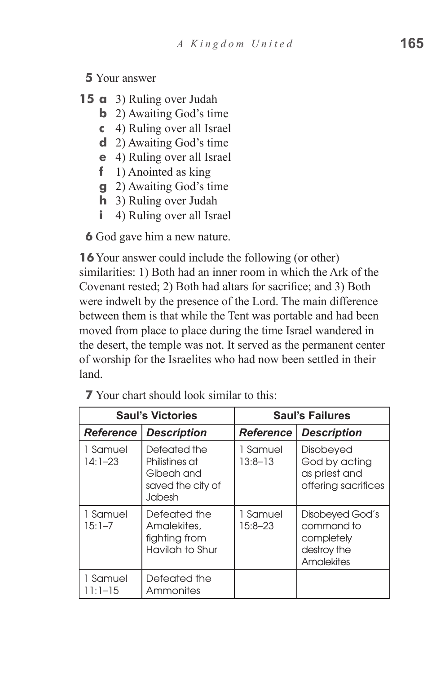#### **5** Your answer

- **15 a** 3) Ruling over Judah
	- **b** 2) Awaiting God's time
	- **c**  4) Ruling over all Israel
	- **d**  2) Awaiting God's time
	- **e**  4) Ruling over all Israel
	- **f** 1) Anointed as king
	- **g** 2) Awaiting God's time
	- **h** 3) Ruling over Judah
	- **i** 4) Ruling over all Israel

**6** God gave him a new nature.

**16**Your answer could include the following (or other) similarities: 1) Both had an inner room in which the Ark of the Covenant rested; 2) Both had altars for sacrifice; and 3) Both were indwelt by the presence of the Lord. The main difference between them is that while the Tent was portable and had been moved from place to place during the time Israel wandered in the desert, the temple was not. It served as the permanent center of worship for the Israelites who had now been settled in their land.

| <b>Saul's Victories</b> |                                                                             | <b>Saul's Failures</b>  |                                                                          |  |  |
|-------------------------|-----------------------------------------------------------------------------|-------------------------|--------------------------------------------------------------------------|--|--|
| <b>Reference</b>        | <b>Description</b>                                                          | <b>Reference</b>        | <b>Description</b>                                                       |  |  |
| 1 Samuel<br>$14:1 - 23$ | Defeated the<br>Philistines at<br>Gibeah and<br>saved the city of<br>Jabesh | 1 Samuel<br>$13:8 - 13$ | Disobeyed<br>God by acting<br>as priest and<br>offering sacrifices       |  |  |
| 1 Samuel<br>$15:1 - 7$  | Defeated the<br>Amalekites.<br>fighting from<br>Havilah to Shur             | 1 Samuel<br>$15:8 - 23$ | Disobeyed God's<br>command to<br>completely<br>destroy the<br>Amalekites |  |  |
| 1 Samuel<br>11:1–15     | Defeated the<br>Ammonites                                                   |                         |                                                                          |  |  |

**7** Your chart should look similar to this: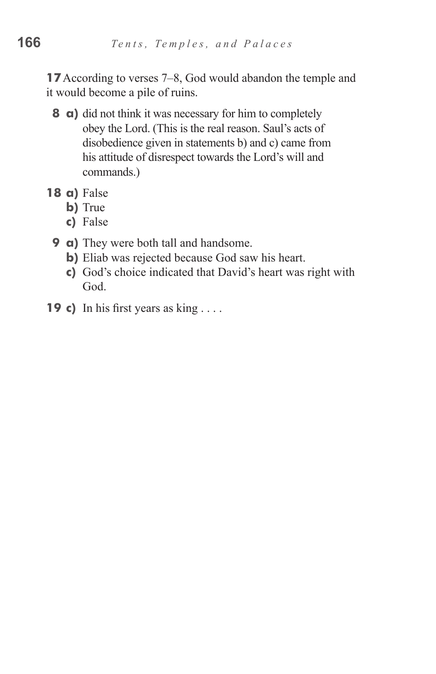**17**According to verses 7–8, God would abandon the temple and it would become a pile of ruins.

- **8 a**) did not think it was necessary for him to completely obey the Lord. (This is the real reason. Saul's acts of disobedience given in statements b) and c) came from his attitude of disrespect towards the Lord's will and commands.)
- **18 a)** False
	- **b**) True
	- **c)**  False
	- **9 a**) They were both tall and handsome.
		- **b)** Eliab was rejected because God saw his heart.
		- **c)**  God's choice indicated that David's heart was right with God.
- **19 c)** In his first years as king . . . .